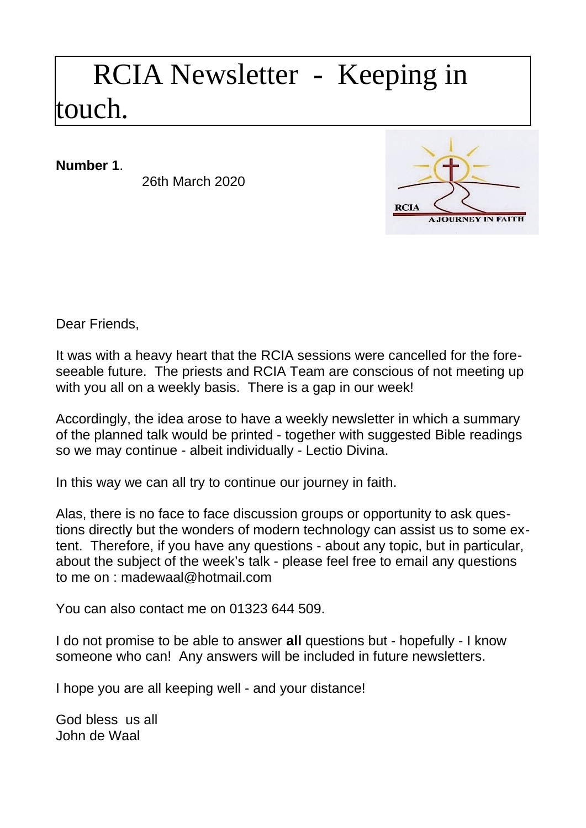## RCIA Newsletter - Keeping in touch.

**Number 1**.

26th March 2020



Dear Friends,

It was with a heavy heart that the RCIA sessions were cancelled for the foreseeable future. The priests and RCIA Team are conscious of not meeting up with you all on a weekly basis. There is a gap in our week!

Accordingly, the idea arose to have a weekly newsletter in which a summary of the planned talk would be printed - together with suggested Bible readings so we may continue - albeit individually - Lectio Divina.

In this way we can all try to continue our journey in faith.

Alas, there is no face to face discussion groups or opportunity to ask questions directly but the wonders of modern technology can assist us to some extent. Therefore, if you have any questions - about any topic, but in particular, about the subject of the week's talk - please feel free to email any questions to me on : [madewaal@hotmail.com](mailto:madewaal@hotmail.com)

You can also contact me on 01323 644 509.

I do not promise to be able to answer **all** questions but - hopefully - I know someone who can! Any answers will be included in future newsletters.

I hope you are all keeping well - and your distance!

God bless us all John de Waal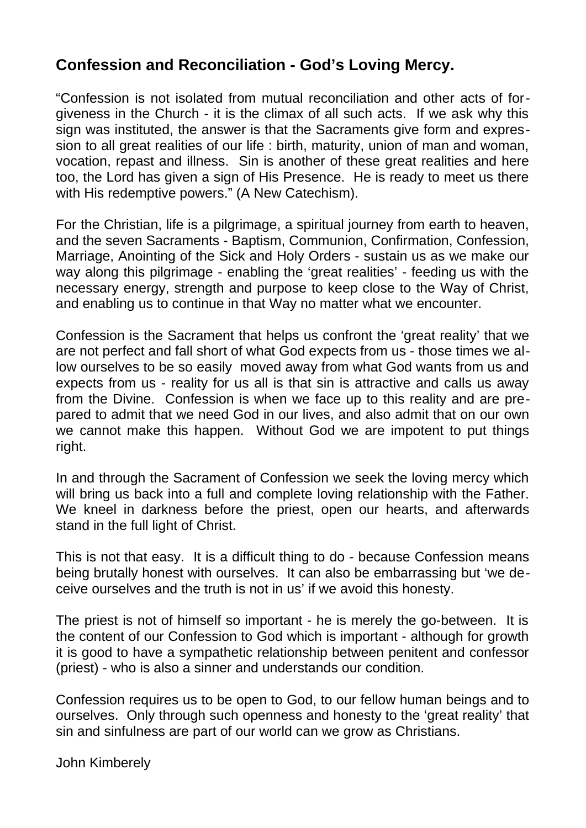## **Confession and Reconciliation - God's Loving Mercy.**

"Confession is not isolated from mutual reconciliation and other acts of forgiveness in the Church - it is the climax of all such acts. If we ask why this sign was instituted, the answer is that the Sacraments give form and expression to all great realities of our life : birth, maturity, union of man and woman, vocation, repast and illness. Sin is another of these great realities and here too, the Lord has given a sign of His Presence. He is ready to meet us there with His redemptive powers." (A New Catechism).

For the Christian, life is a pilgrimage, a spiritual journey from earth to heaven, and the seven Sacraments - Baptism, Communion, Confirmation, Confession, Marriage, Anointing of the Sick and Holy Orders - sustain us as we make our way along this pilgrimage - enabling the 'great realities' - feeding us with the necessary energy, strength and purpose to keep close to the Way of Christ, and enabling us to continue in that Way no matter what we encounter.

Confession is the Sacrament that helps us confront the 'great reality' that we are not perfect and fall short of what God expects from us - those times we allow ourselves to be so easily moved away from what God wants from us and expects from us - reality for us all is that sin is attractive and calls us away from the Divine. Confession is when we face up to this reality and are prepared to admit that we need God in our lives, and also admit that on our own we cannot make this happen. Without God we are impotent to put things right.

In and through the Sacrament of Confession we seek the loving mercy which will bring us back into a full and complete loving relationship with the Father. We kneel in darkness before the priest, open our hearts, and afterwards stand in the full light of Christ.

This is not that easy. It is a difficult thing to do - because Confession means being brutally honest with ourselves. It can also be embarrassing but 'we deceive ourselves and the truth is not in us' if we avoid this honesty.

The priest is not of himself so important - he is merely the go-between. It is the content of our Confession to God which is important - although for growth it is good to have a sympathetic relationship between penitent and confessor (priest) - who is also a sinner and understands our condition.

Confession requires us to be open to God, to our fellow human beings and to ourselves. Only through such openness and honesty to the 'great reality' that sin and sinfulness are part of our world can we grow as Christians.

John Kimberely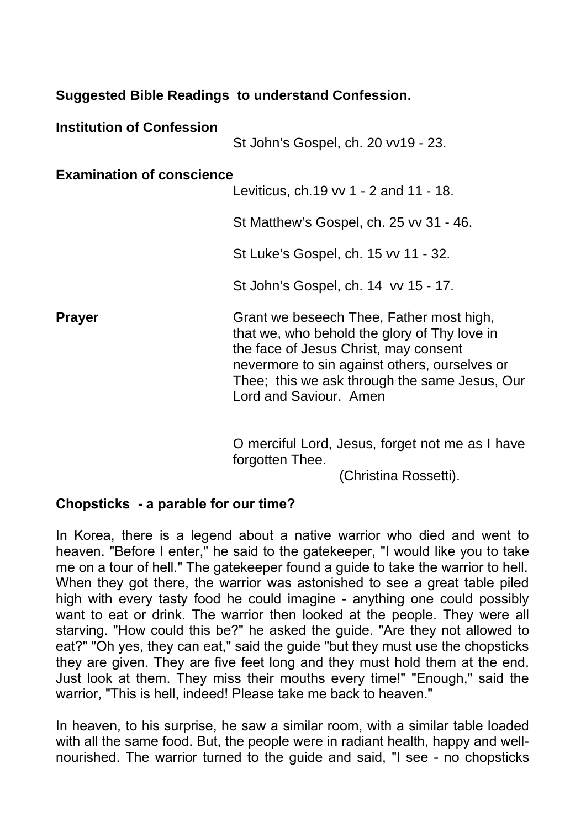## **Suggested Bible Readings to understand Confession.**

| <b>Institution of Confession</b> | St John's Gospel, ch. 20 vv19 - 23.                                                                                                                                                                                                                           |
|----------------------------------|---------------------------------------------------------------------------------------------------------------------------------------------------------------------------------------------------------------------------------------------------------------|
| <b>Examination of conscience</b> | Leviticus, ch.19 vv 1 - 2 and 11 - 18.                                                                                                                                                                                                                        |
|                                  | St Matthew's Gospel, ch. 25 vv 31 - 46.                                                                                                                                                                                                                       |
|                                  | St Luke's Gospel, ch. 15 vv 11 - 32.                                                                                                                                                                                                                          |
|                                  | St John's Gospel, ch. 14 vv 15 - 17.                                                                                                                                                                                                                          |
| <b>Prayer</b>                    | Grant we beseech Thee, Father most high,<br>that we, who behold the glory of Thy love in<br>the face of Jesus Christ, may consent<br>nevermore to sin against others, ourselves or<br>Thee; this we ask through the same Jesus, Our<br>Lord and Saviour, Amen |

O merciful Lord, Jesus, forget not me as I have forgotten Thee.

(Christina Rossetti).

## **Chopsticks - a parable for our time?**

In Korea, there is a legend about a native warrior who died and went to heaven. "Before I enter," he said to the gatekeeper, "I would like you to take me on a tour of hell." The gatekeeper found a guide to take the warrior to hell. When they got there, the warrior was astonished to see a great table piled high with every tasty food he could imagine - anything one could possibly want to eat or drink. The warrior then looked at the people. They were all starving. "How could this be?" he asked the guide. "Are they not allowed to eat?" "Oh yes, they can eat," said the guide "but they must use the chopsticks they are given. They are five feet long and they must hold them at the end. Just look at them. They miss their mouths every time!" "Enough," said the warrior, "This is hell, indeed! Please take me back to heaven."

In heaven, to his surprise, he saw a similar room, with a similar table loaded with all the same food. But, the people were in radiant health, happy and wellnourished. The warrior turned to the guide and said, "I see - no chopsticks